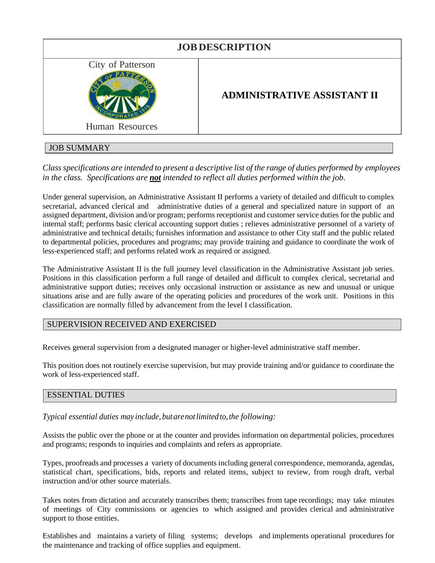| <b>JOB DESCRIPTION</b>                      |                                    |
|---------------------------------------------|------------------------------------|
| City of Patterson<br><b>Human Resources</b> | <b>ADMINISTRATIVE ASSISTANT II</b> |
| $TCD$ $TITI$ $TITI$                         |                                    |

# JOB SUMMARY

*Class specifications are intended to present a descriptive list of the range of duties performed by employees in the class. Specifications are not intended to reflect all duties performed within the job.*

Under general supervision, an Administrative Assistant II performs a variety of detailed and difficult to complex secretarial, advanced clerical and administrative duties of a general and specialized nature in support of an assigned department, division and/or program; performs receptionist and customer service duties for the public and internal staff; performs basic clerical accounting support duties ; relieves administrative personnel of a variety of administrative and technical details; furnishes information and assistance to other City staff and the public related to departmental policies, procedures and programs; may provide training and guidance to coordinate the work of less-experienced staff; and performs related work as required or assigned.

The Administrative Assistant II is the full journey level classification in the Administrative Assistant job series. Positions in this classification perform a full range of detailed and difficult to complex clerical, secretarial and administrative support duties; receives only occasional instruction or assistance as new and unusual or unique situations arise and are fully aware of the operating policies and procedures of the work unit. Positions in this classification are normally filled by advancement from the level I classification.

## SUPERVISION RECEIVED AND EXERCISED

Receives general supervision from a designated manager or higher-level administrative staff member.

This position does not routinely exercise supervision, but may provide training and/or guidance to coordinate the work of less-experienced staff.

## ESSENTIAL DUTIES

*Typical essential duties may include, butarenotlimited to,the following:*

Assists the public over the phone or at the counter and provides information on departmental policies, procedures and programs; responds to inquiries and complaints and refers as appropriate.

Types, proofreads and processes a variety of documents including general correspondence, memoranda, agendas, statistical chart, specifications, bids, reports and related items, subject to review, from rough draft, verbal instruction and/or other source materials.

Takes notes from dictation and accurately transcribes them; transcribes from tape recordings; may take minutes of meetings of City commissions or agencies to which assigned and provides clerical and administrative support to those entities.

Establishes and maintains a variety of filing systems; develops and implements operational procedures for the maintenance and tracking of office supplies and equipment.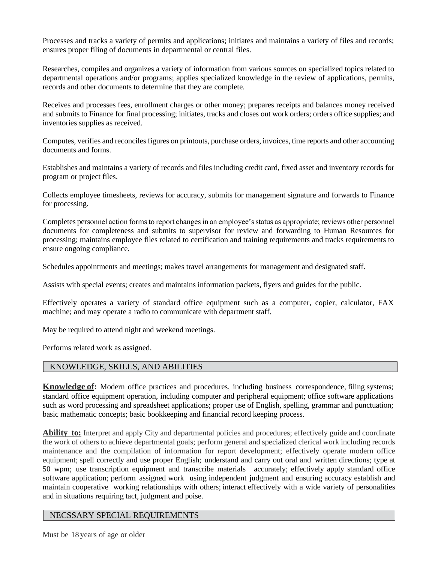Processes and tracks a variety of permits and applications; initiates and maintains a variety of files and records; ensures proper filing of documents in departmental or central files.

Researches, compiles and organizes a variety of information from various sources on specialized topics related to departmental operations and/or programs; applies specialized knowledge in the review of applications, permits, records and other documents to determine that they are complete.

Receives and processes fees, enrollment charges or other money; prepares receipts and balances money received and submits to Finance for final processing; initiates, tracks and closes out work orders; orders office supplies; and inventories supplies as received.

Computes, verifies and reconciles figures on printouts, purchase orders, invoices, time reports and other accounting documents and forms.

Establishes and maintains a variety of records and files including credit card, fixed asset and inventory records for program or project files.

Collects employee timesheets, reviews for accuracy, submits for management signature and forwards to Finance for processing.

Completes personnel action forms to report changes in an employee's status as appropriate; reviews other personnel documents for completeness and submits to supervisor for review and forwarding to Human Resources for processing; maintains employee files related to certification and training requirements and tracks requirements to ensure ongoing compliance.

Schedules appointments and meetings; makes travel arrangements for management and designated staff.

Assists with special events; creates and maintains information packets, flyers and guides for the public.

Effectively operates a variety of standard office equipment such as a computer, copier, calculator, FAX machine; and may operate a radio to communicate with department staff.

May be required to attend night and weekend meetings.

Performs related work as assigned.

#### KNOWLEDGE, SKILLS, AND ABILITIES

**Knowledge of:** Modern office practices and procedures, including business correspondence, filing systems; standard office equipment operation, including computer and peripheral equipment; office software applications such as word processing and spreadsheet applications; proper use of English, spelling, grammar and punctuation; basic mathematic concepts; basic bookkeeping and financial record keeping process.

**Ability to:** Interpret and apply City and departmental policies and procedures; effectively guide and coordinate the work of others to achieve departmental goals; perform general and specialized clerical work including records maintenance and the compilation of information for report development; effectively operate modern office equipment; spell correctly and use proper English; understand and carry out oral and written directions; type at 50 wpm; use transcription equipment and transcribe materials accurately; effectively apply standard office software application; perform assigned work using independent judgment and ensuring accuracy establish and maintain cooperative working relationships with others; interact effectively with a wide variety of personalities and in situations requiring tact, judgment and poise.

#### NECSSARY SPECIAL REQUIREMENTS